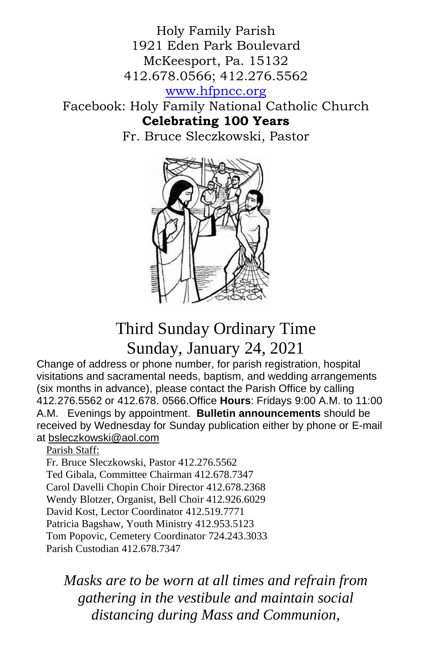Holy Family Parish 1921 Eden Park Boulevard McKeesport, Pa. 15132 412.678.0566; 412.276.5562

[www.hfpncc.org](http://www.hfpncc.org/)

Facebook: Holy Family National Catholic Church **Celebrating 100 Years**

Fr. Bruce Sleczkowski, Pastor



# Third Sunday Ordinary Time Sunday, January 24, 2021

Change of address or phone number, for parish registration, hospital visitations and sacramental needs, baptism, and wedding arrangements (six months in advance), please contact the Parish Office by calling 412.276.5562 or 412.678. 0566.Office **Hours**: Fridays 9:00 A.M. to 11:00 A.M. Evenings by appointment. **Bulletin announcements** should be received by Wednesday for Sunday publication either by phone or E-mail at [bsleczkowski@aol.com](mailto:bsleczkowski@aol.com)

#### Parish Staff:

Fr. Bruce Sleczkowski, Pastor 412.276.5562 Ted Gibala, Committee Chairman 412.678.7347 Carol Davelli Chopin Choir Director 412.678.2368 Wendy Blotzer, Organist, Bell Choir 412.926.6029 David Kost, Lector Coordinator 412.519.7771 Patricia Bagshaw, Youth Ministry 412.953.5123 Tom Popovic, Cemetery Coordinator 724.243.3033 Parish Custodian 412.678.7347

*Masks are to be worn at all times and refrain from gathering in the vestibule and maintain social distancing during Mass and Communion,*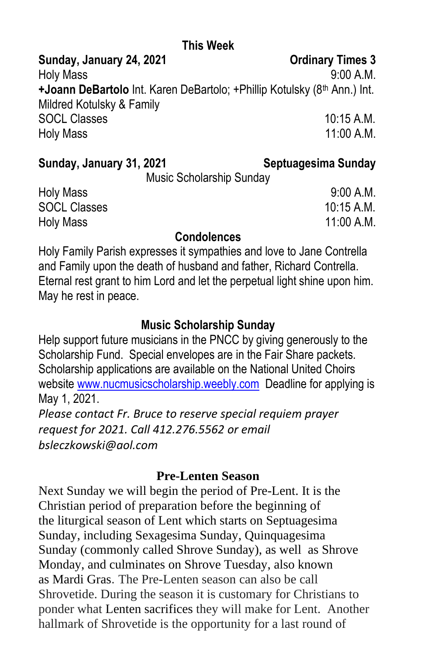# **This Week**

Sunday, January 24, 2021 **Constants Constructed Avenue** Condinary Times 3

Holy Mass 9:00 A.M. **+Joann DeBartolo** Int. Karen DeBartolo; +Phillip Kotulsky (8<sup>th</sup> Ann.) Int. Mildred Kotulsky & Family SOCL Classes 10:15 A.M. Holy Mass 2008 11:00 A.M.

#### **Sunday, January 31, 2021 Septuagesima Sunday**

Music Scholarship Sunday

Holy Mass 9:00 A.M. SOCL Classes 10:15 A.M. Holy Mass 2008 11:00 A.M.

### **Condolences**

Holy Family Parish expresses it sympathies and love to Jane Contrella and Family upon the death of husband and father, Richard Contrella. Eternal rest grant to him Lord and let the perpetual light shine upon him. May he rest in peace.

### **Music Scholarship Sunday**

Help support future musicians in the PNCC by giving generously to the Scholarship Fund. Special envelopes are in the Fair Share packets. Scholarship applications are available on the National United Choirs website [www.nucmusicscholarship.weebly.com](http://www.nucmusicscholarship.weebly.com/) Deadline for applying is May 1, 2021. *Please contact Fr. Bruce to reserve special requiem prayer request for 2021. Call 412.276.5562 or email* 

*bsleczkowski@aol.com*

## **Pre-Lenten Season**

Next Sunday we will begin the period of Pre-Lent. It is the Christian period of preparation before the beginning of the [liturgical season](https://en.wikipedia.org/wiki/Liturgical_year) of [Lent](https://en.wikipedia.org/wiki/Lent) which starts on [Septuagesima](https://en.wikipedia.org/wiki/Septuagesima_Sunday)  [Sunday,](https://en.wikipedia.org/wiki/Septuagesima_Sunday) including [Sexagesima Sunday,](https://en.wikipedia.org/wiki/Sexagesima_Sunday) [Quinquagesima](https://en.wikipedia.org/wiki/Quinquagesima_Sunday)  [Sunday](https://en.wikipedia.org/wiki/Quinquagesima_Sunday) (commonly called Shrove Sunday), as well as [Shrove](https://en.wikipedia.org/wiki/Shrove_Monday)  [Monday,](https://en.wikipedia.org/wiki/Shrove_Monday) and culminates on [Shrove Tuesday,](https://en.wikipedia.org/wiki/Shrove_Tuesday) also known as [Mardi Gras](https://en.wikipedia.org/wiki/Mardi_Gras). The Pre-Lenten season can also be call Shrovetide. During the season it is customary for Christians to ponder what [Lenten sacrifices](https://en.wikipedia.org/wiki/Lenten_sacrifice) they will make for Lent. Another hallmark of Shrovetide is the opportunity for a last round of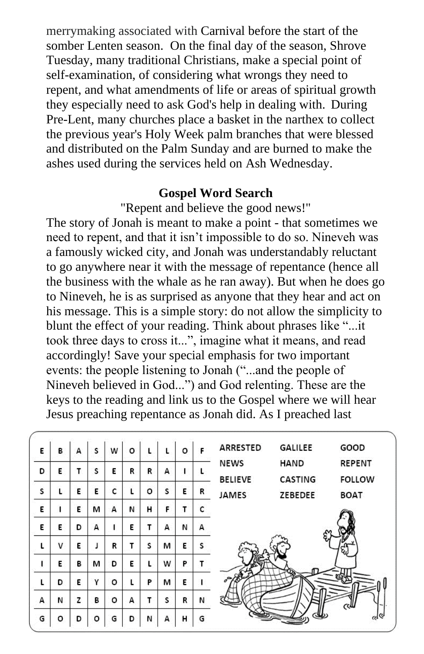merrymaking associated with [Carnival](https://en.wikipedia.org/wiki/Carnival) before the start of the somber Lenten season. On the final day of the season, Shrove Tuesday, many traditional Christians, make a special point of self-examination, of considering what wrongs they need to repent, and what amendments of life or areas of spiritual growth they especially need to ask God's help in dealing with. During Pre-Lent, many churches place a basket in the [narthex](https://en.wikipedia.org/wiki/Narthex) to collect the previous year's [Holy Week](https://en.wikipedia.org/wiki/Holy_Week) palm branches that were blessed and distributed on the [Palm Sunday](https://en.wikipedia.org/wiki/Palm_Sunday) and are burned to make the ashes used during the services held on Ash Wednesday.

#### **Gospel Word Search**

"Repent and believe the good news!"

The story of Jonah is meant to make a point - that sometimes we need to repent, and that it isn't impossible to do so. Nineveh was a famously wicked city, and Jonah was understandably reluctant to go anywhere near it with the message of repentance (hence all the business with the whale as he ran away). But when he does go to Nineveh, he is as surprised as anyone that they hear and act on his message. This is a simple story: do not allow the simplicity to blunt the effect of your reading. Think about phrases like "...it took three days to cross it...", imagine what it means, and read accordingly! Save your special emphasis for two important events: the people listening to Jonah ("...and the people of Nineveh believed in God...") and God relenting. These are the keys to the reading and link us to the Gospel where we will hear Jesus preaching repentance as Jonah did. As I preached last

| E | в  | А | s | w | o | L |   | о | F | ARRESTED       | <b>GALILEE</b> | GOOD          |
|---|----|---|---|---|---|---|---|---|---|----------------|----------------|---------------|
| D | E  | т | s | Е | R | R | А |   |   | <b>NEWS</b>    | <b>HAND</b>    | <b>REPENT</b> |
|   |    |   |   |   |   |   |   |   |   | <b>BELIEVE</b> | <b>CASTING</b> | <b>FOLLOW</b> |
| s | L. | Ε | E | c | L | о | s | Ε | R | <b>JAMES</b>   | ZEBEDEE        | <b>BOAT</b>   |
| E |    | Е | м | А | N | н | F | T | c |                |                |               |
| E | E  | D | А | L | E | т | А | N | А |                |                |               |
| L | ٧  | Е |   | R | т | s | м | E | S |                |                |               |
| 1 | E  | в | м | D | Ε | L | w | P |   |                |                |               |
| L | D  | Ε | γ | о |   | P | м | E |   |                |                |               |
| А | И  | z | в | о | А | т | s | R | N |                |                | ررسا          |
| G | o  | D | o | G | D | N | А | н | G |                |                |               |